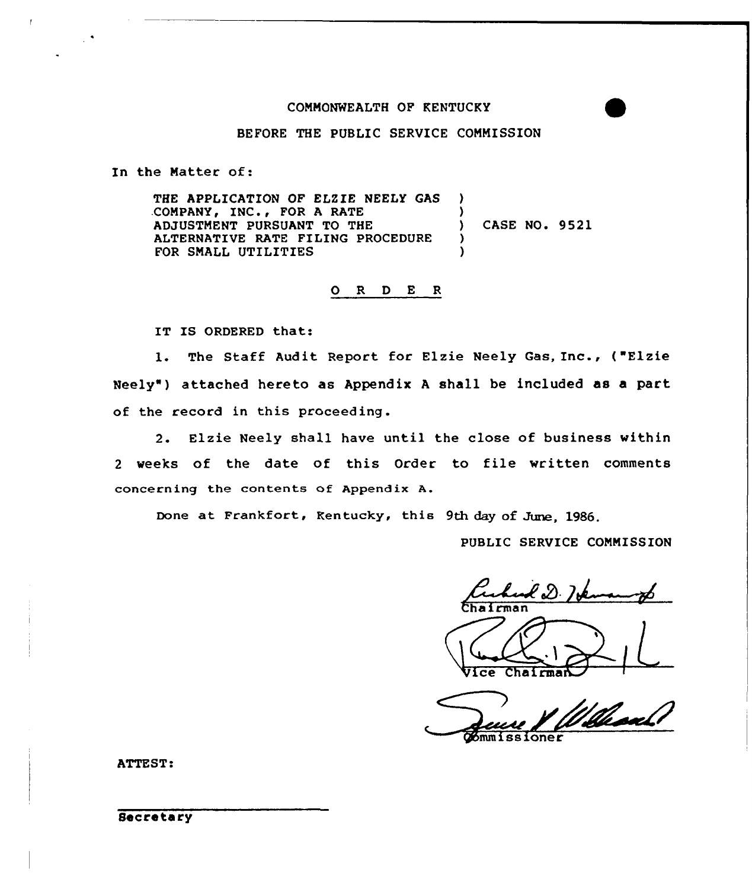### COMMONWEALTH OF KENTUCKY

### BEFORE THE PUBLIC SERVICE COMMISSION

In the Matter of:

THE APPLICATION OF ELZIE NEELY GAS .COMPANY, INC., FOR <sup>A</sup> RATE ADJUSTMENT PURSUANT TO THE ALTERNATIVE RATE FILING PROCEDURE FOR SMALL UTILITIES ) ) ) CASE NO. 9521 ) )

0 <sup>R</sup> <sup>D</sup> <sup>E</sup> <sup>R</sup>

IT IS ORDERED that:

1. The Staff Audit Report for Elzie Neely Gas, Inc., ( Elzie Neely") attached hereto as Appendix <sup>A</sup> shall be included as a part of the record in this proceeding.

2. Elzie Neely shall have until the close of business within <sup>2</sup> weeks of the date of this Order to file written comments concerning the contents of Appendix A.

Done at Frankfort, Rentucky, this 9th day of June, 1986.

PUBLIC SERVICE COMMISSION

Ceched D. Id Chairman

Chairman  $\overline{\text{ce}}$ 

//lead

ATTEST: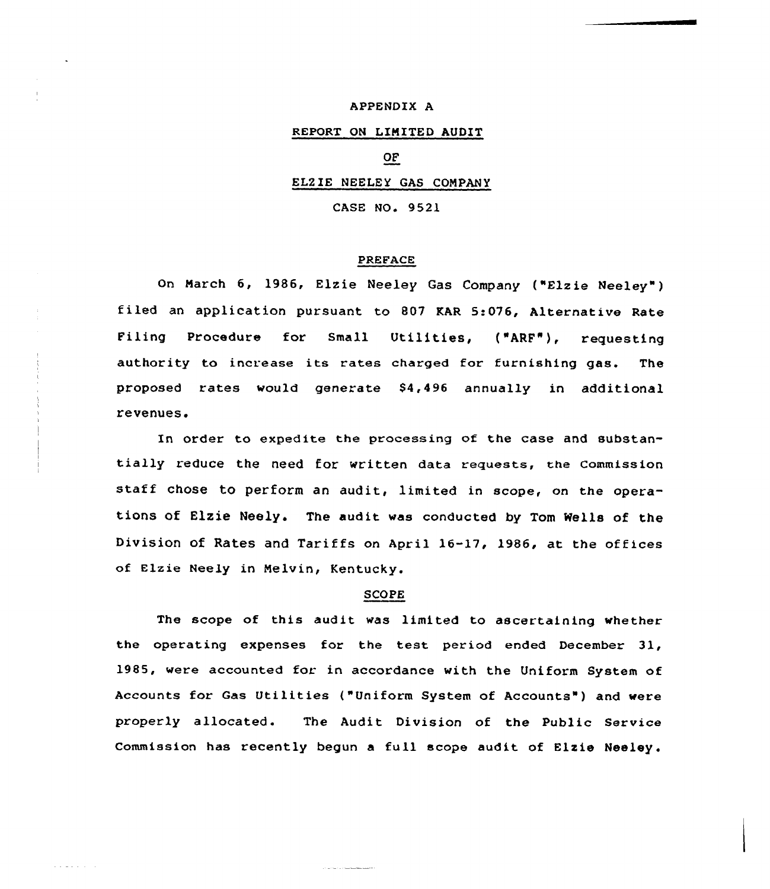### APPENDIX A

# REPORT ON LIMITED AUDIT

# OF

## EL2 IE NEELEY GAS COMPANY

CASE NO. 9521

#### PREFACE

on March 6, 1986, Elzie Neeley Gas Company ("Elzie Neeley") filed an application pursuant to 807 KAR 5:076, Alternative Rate Filing Procedure for Small Utilities, ("ARF"), requesting authority to increase its rates charged for furnishing gas. The proposed rates would generate  $$4,496$  annually in additional revenues.

In order to expedite the processing of the case and substantially reduce the need for written data requests, the Commission staff chose to perform an audit, limited in scope, on the operations of Elzie Neely. The audit was conducted by Tom Wells of the Division of Rates and Tariffs on April 16-17, 1986, at the offices of Elzie Neely in Melvin, Kentucky.

# SCOPE

The scope of this audit was limited to ascertaining whether the operating expenses for the test period ended December 31, 1985, were accounted for in accordance with the Uniform System of Accounts for Gas Utilities ("Uniform System of Accounts" ) and were properly allocated. The Audit Division of the Public Service Commission has recently begun a full scope audit of Elzie Neeley.

والمستشهدات والراحات والرام

and a strain of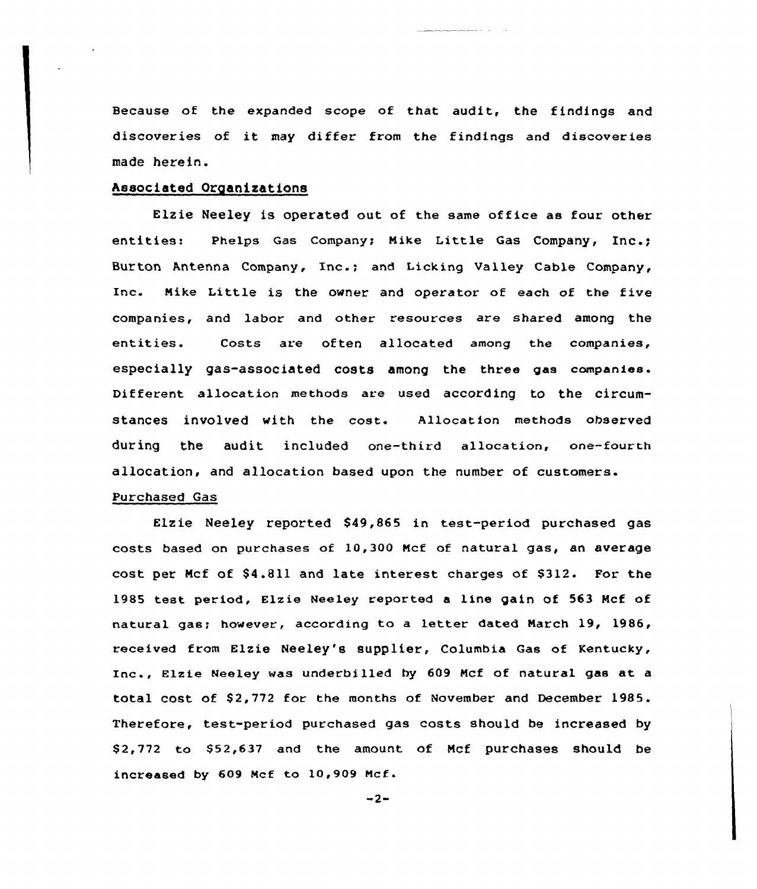Because of the expanded scope of that audit, the findings and discoveries of it may differ from the findings and discoveries made herein.

# Associated Organizations

Elzie Neeley is operated out of the same office as four other entities: Phelps Gas Company; Mike Little Gas Company, Inc.; Burton Antenna Company, Inc.; and Licking Valley Cable Company, Inc. Nike Little is the owner and operator of each of the five companies, and labor and other resources are shared among the entities. Costs are often allocated among the companies, especially gas-associated costs among the three gas companies. Different allocation methods are used according to the circumstances involved with the cost. Allocation methods observed during the audit included one-third allocation, one-fourth allocation, and allocation based upon the number of customers.

# Purchased Gas

Elzie Neeley reported 849,865 in test-period purchased gas costs based on purchases of 10,300 Ncf of natural gas, an average cost per Mcf of \$4.811 and late interest charges of \$312. For the 1985 test period, Elzie Neeley reported a line gain of 563 Mcf of natural gas; however, according to <sup>a</sup> letter dated March 19, 1986, received from Elzie Neeley's supplier, Columbia Gas of Kentucky, Inc., Elzie Neeley was underbilled by 609 Mcf of natural gas at <sup>a</sup> total cost of \$2,772 for the months of November and December 1985. Therefore, test-period purchased gas costs should be increased by \$2,772 to \$52,637 and the amount of Mcf purchases should be increased by 609 Mcf to 10,909 Mcf.

 $-2-$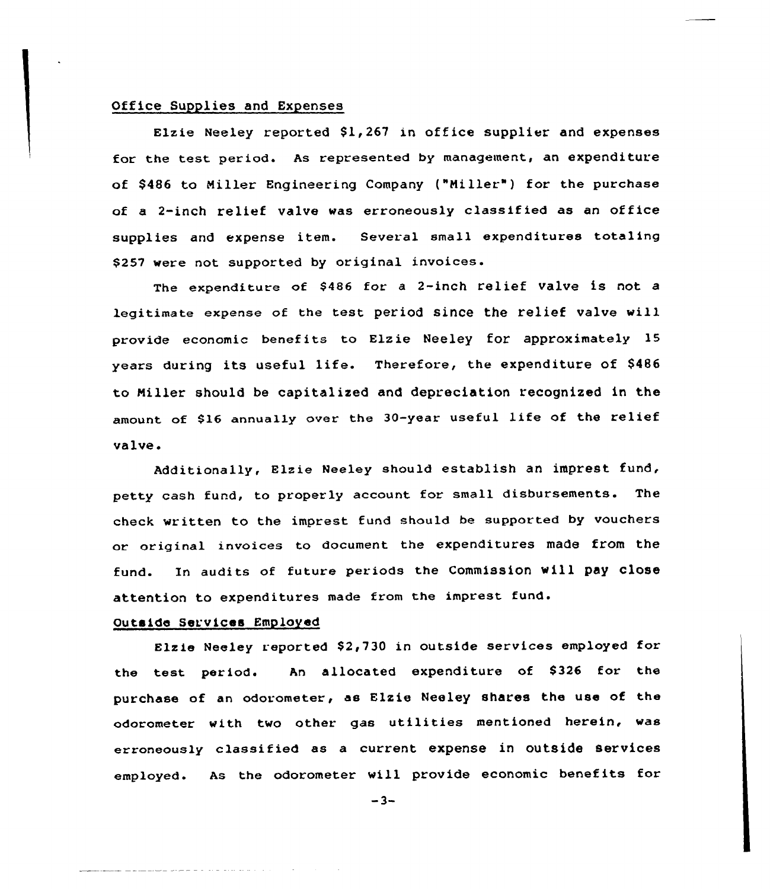# Office Supplies and Expenses

Elzie Neeley reported \$1,267 in office supplier and expenses for the test period. As represented by management, an expenditure of \$486 to Miller Engineering Company ("Miller") for the purchase of <sup>a</sup> 2-inch relief valve was erroneously classified as an office supplies and expense item. Several small expenditures totaling \$257 were not supported by original invoices.

The expenditure of \$486 for a 2-inch relief valve is not a legitimate expense of the test period since the relief valve will provide economic benefits to Elzie Neeley for approximately 15 years during its useful life. Therefore, the expenditure of \$<sup>486</sup> to Niller should be capitalized and depreciation recognized in the amount of \$16 annually over the 30-year useful life of the relief valve <sup>~</sup>

Additionally, Elzie Neeley should establish an imprest fund, petty cash fund, to properly account for small disbursements. The check written to the imprest fund should be supported by vouchers or original invoices to document the expenditures made from the fund. In audits of future periods the Commission will pay close attention to expenditures made from the imprest fund.

#### Outside Services Employed

المنادية المستحدث والمستشهد للمستقل للمستقل المتأ

Elzie Neeley reported \$2,730 in outside services employed for the test period. An allocated expenditure of \$326 for the purchase of an odorometer, as Elzie Neeley shares the use of the odorometer with two other gas utilities mentioned herein, was erroneously classified as a current expense in outside services employed. As the odorometer will provide economic benefits for

 $-3-$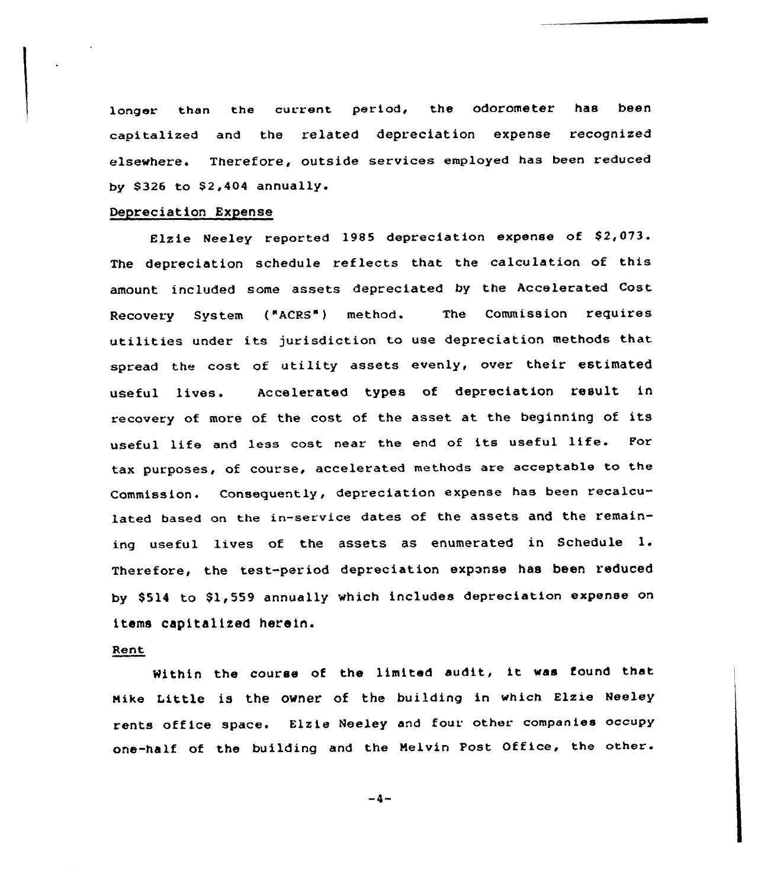longer than the current period, the odorometer has been capitalized and the related depreciation expense recognized elsewhere. Therefore, outside services employed has been reduced by \$326 to  $$2,404$  annually.

# Depreciation Expense

Elzie Neeley reported 1985 depreciation expense of \$2,073. The depreciation schedule reflects that the calculation of this amount included some assets depreciated by the Accelerated Cost. Recovery System ("ACRS") method. The Commission requires utilities under its jurisdiction to use depreciation methods that spread the cost of utility assets evenly, over their estimated useful lives. Accelerated types of depreciation result in recovery of more of the cost of the asset at the beginning of its useful life and less cost near the end of its useful life. For tax purposes, of course, accelerated methods are acceptable to the Commission. Consequently, depreciation expense has been recalculated based on the in-service dates of the assets and the remaining useful lives of the assets as enumerated in Schedule 1. Therefore, the test-period depreciation exponse has been reduced by \$514 to \$1,559 annually which includes depreciation expense on items capitalized herein.

# Rent

Nithin the course of the limited audit, it was found that Hike Little is the owner of the building in which Elzie Neeley rents office space. Elzie Neeley and four other companies occupy one-half of the building and the Nelvin Post Office, the other.

 $-4-$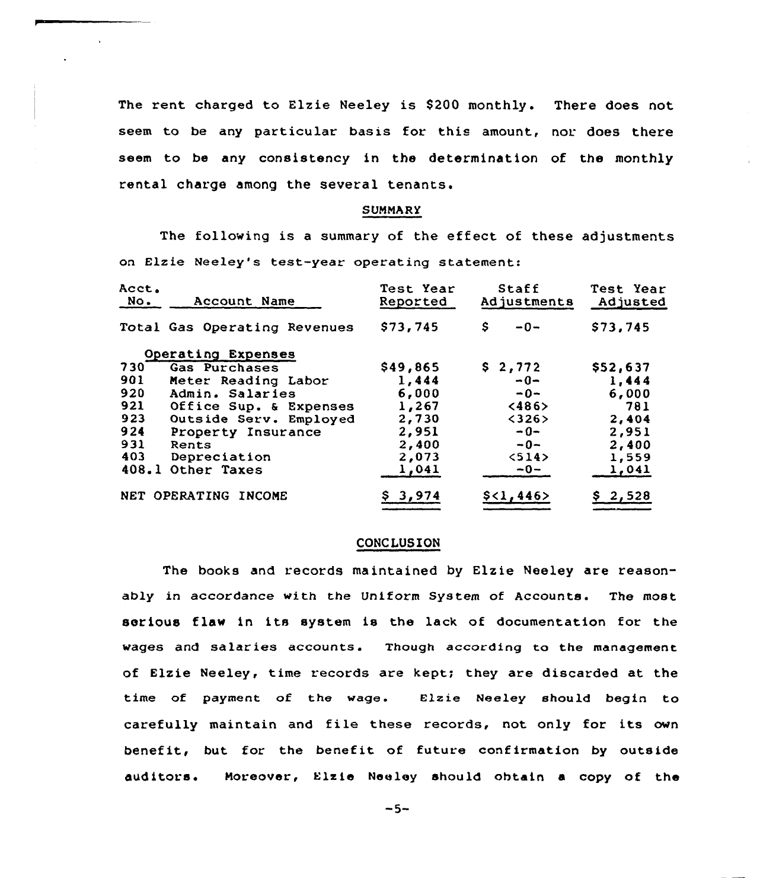The rent charged to Elzie Neeley is \$200 monthly. There does not seem to be any particular basis for this amount, nor does there seem to be any consistency in the determination of the monthly rental charge among the several tenants.

### SUMMARY

The following is <sup>a</sup> summary of the effect of these adjustments on Elzie Neeley's test-year operating statement:

| Acct.<br>No. | Account Name                 | Test Year<br>Reported | <b>Staff</b><br>Adjustments | Test Year<br>Adjusted |
|--------------|------------------------------|-----------------------|-----------------------------|-----------------------|
|              | Total Gas Operating Revenues | \$73,745              | \$.<br>$-0-$                | \$73,745              |
|              | Operating Expenses           |                       |                             |                       |
| 730          | Gas Purchases                | \$49,865              | \$2,772                     | \$52,637              |
| 901          | Meter Reading Labor          | 1,444                 | $-0-$                       | 1,444                 |
| 920          | Admin. Salaries              | 6,000                 | $-0-$                       | 6,000                 |
| 921          | Office Sup. & Expenses       | 1,267                 | <486                        | 781                   |
| 923          | Outside Serv. Employed       | 2,730                 | <326>                       | 2,404                 |
| 924          | Property Insurance           | 2,951                 | $-0-$                       | 2,951                 |
| 931          | Rents                        | 2,400                 | $-0-$                       | 2,400                 |
| 403          | Depreciation                 | 2,073                 | 514                         | 1,559                 |
| 408.1        | Other Taxes                  | 1,041                 | $-0-$                       | 1,041                 |
|              | NET OPERATING INCOME         | \$3,974               | \$<1,446>                   | \$2,528               |

## CONCLUSION

The books and records maintained by Elzie Neeley are reasonably in accordance with the Uniform System of Accounts. The most serious flaw in its system is the lack of documentation for the wages and salaries accounts. Though according to the management of Elzie Neeley, time records are kept; they are discarded at the time of payment of the wage. Elzie Neeley should begin to carefully maintain and file these records, not only for its own benefit, but for the benefit of future confirmation by outside auditors. Moreover, Elzie Neeley should obtain a copy of the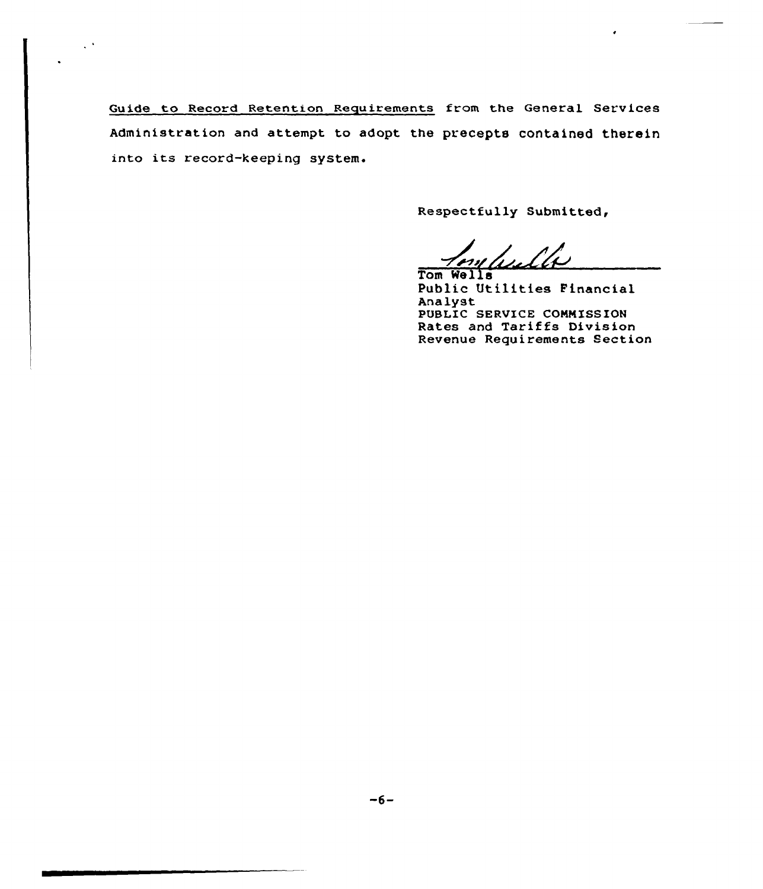Guide to Record Retention Requirements from the General Services Administration and attempt to adopt the precepts contained therein into its record-keeping system.

 $\hat{\mathcal{A}}$ 

Respectfully Submitted,

Tom Wells Public Utilities Financial Analyst PUBLIC SERVICE COMMISSION Rates and Tariffs Division Revenue Requirements Section